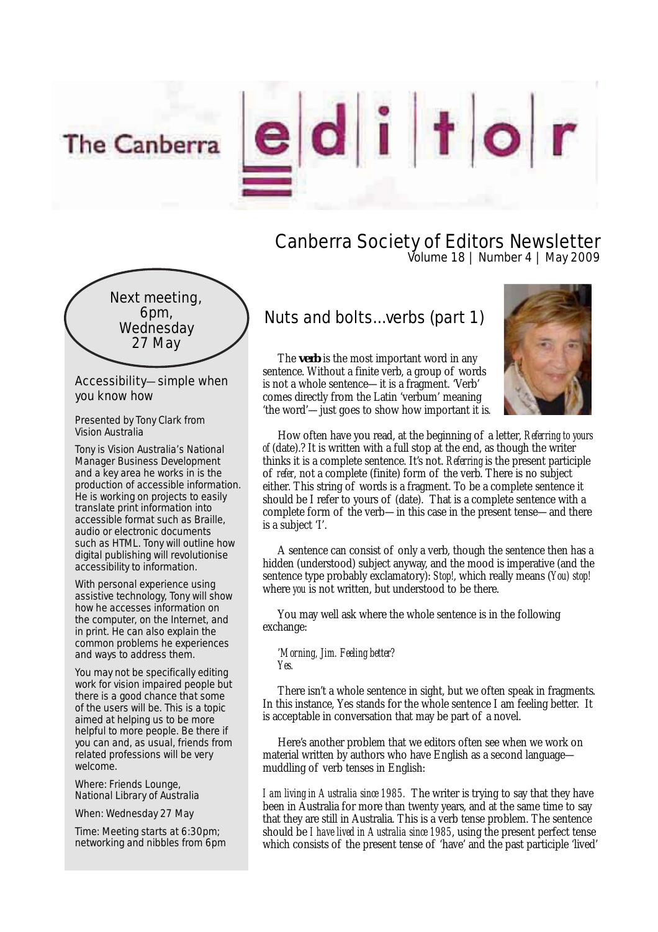The Canberra

editor

Canberra Society of Editors Newsletter Volume 18 | Number 4 | May 2009



Accessibility—simple when you know how

Presented by Tony Clark from Vision Australia

Tony is Vision Australia's National Manager Business Development and a key area he works in is the production of accessible information. He is working on projects to easily translate print information into accessible format such as Braille, audio or electronic documents such as HTML. Tony will outline how digital publishing will revolutionise accessibility to information.

With personal experience using assistive technology, Tony will show how he accesses information on the computer, on the Internet, and in print. He can also explain the common problems he experiences and ways to address them.

You may not be specifically editing work for vision impaired people but there is a good chance that some of the users will be. This is a topic aimed at helping us to be more helpful to more people. Be there if you can and, as usual, friends from related professions will be very welcome.

Where: Friends Lounge, National Library of Australia

When: Wednesday 27 May

Time: Meeting starts at 6:30pm; networking and nibbles from 6pm

# Nuts and bolts...verbs (part 1)

The **verb** is the most important word in any sentence. Without a finite verb, a group of words is not a whole sentence—it is a fragment. 'Verb' comes directly from the Latin 'verbum' meaning 'the word'—just goes to show how important it is.



How often have you read, at the beginning of a letter, *Referring to yours of* (date).? It is written with a full stop at the end, as though the writer thinks it is a complete sentence. It's not. *Referring* is the present participle of *refer*, not a complete (finite) form of the verb. There is no subject either. This string of words is a fragment. To be a complete sentence it should be I refer to yours of (date). That is a complete sentence with a complete form of the verb—in this case in the present tense—and there is a subject 'I'.

A sentence can consist of only a verb, though the sentence then has a hidden (understood) subject anyway, and the mood is imperative (and the sentence type probably exclamatory): *Stop!*, which really means (*You) stop!*  where *you* is not written, but understood to be there.

You may well ask where the whole sentence is in the following exchange:

*'Morning, Jim. Feeling better? Yes.*

There isn't a whole sentence in sight, but we often speak in fragments. In this instance, Yes stands for the whole sentence I am feeling better. It is acceptable in conversation that may be part of a novel.

Here's another problem that we editors often see when we work on material written by authors who have English as a second language muddling of verb tenses in English:

*I am living in Australia since 1985.* The writer is trying to say that they have been in Australia for more than twenty years, and at the same time to say that they are still in Australia. This is a verb tense problem. The sentence should be *I have lived in Australia since 1985*, using the present perfect tense which consists of the present tense of 'have' and the past participle 'lived'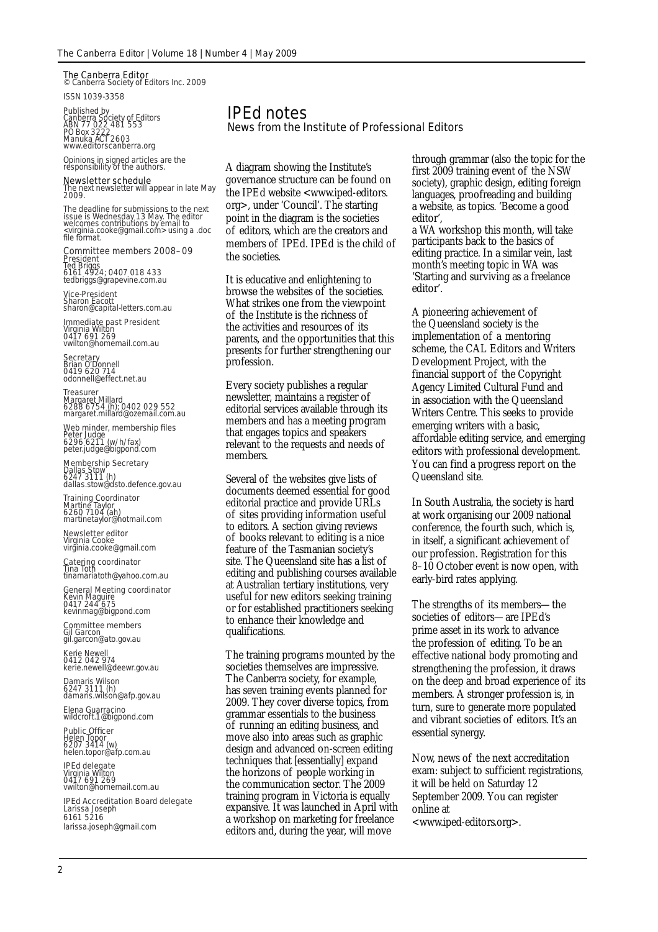**The Canberra Editor**<br>© Canberra Society of Editors Inc. 2009

ISSN 1039-3358

Published by<br>Canberra Society of Editors<br>ABN 77 022 481 553<br>PO Box 3222<br>Manuka ACT 2603 www.editorscanberra.org

Opinions in signed articles are the responsibility of the authors.

#### Newsletter schedule

The next newsletter will appear in late May 2009.

The deadline for submissions to the next issue is Wednesday 13 May. The editor welcomes contributions by email to <virginia.cooke@gmail.com> using a .doc file format.

Committee members 2008–09 President Ted Briggs 6161 4924; 0407 018 433 tedbriggs@grapevine.com.au

Vice-President Sharon Eacott

sharon@capital-letters.com.au

**Immediate past President**<br>Virginia Wilton<br>0417 691 269<br>vwilton@homemail.com.au

**Secretary**<br>Brian O'Donnell<br>0419 620 714<br>odonnell@effect.net.au

**Treasurer**<br>Margaret Millard<br>6288 6754 (h); 0402 029 552<br>margaret.millard@ozemail.com.au

Web minder, membership files Peter Judge<br>6296 6211 (w/h/fax)<br>peter.judge@bigpond.com

## Membership Secretary Dallas Stow 6247 3111 (h) dallas.stow@dsto.defence.gov.au

**Training Coordinator**<br>Martine Taylor<br>6260 7104 (ah) martinetaylor@hotmail.com

**Newsletter editor**<br>Virginia Cooke<br>virginia.cooke@gmail.com

Catering coordinator Tina Toth tinamariatoth@yahoo.com.au

**General Meeting coordinator**<br>Kevin Maguire<br>0417 244 675<br>kevinmag@bigpond.com

**Committee members** Gil Garcon<br>gil.garcon@ato.gov.au

Kerie Newell 0412 042 974 kerie.newell@deewr.gov.au

Damaris Wilson<br>6247 3111 (h)<br>damaris.wilson@afp.gov.au

Elena Guarracino wildcroft.1@bigpond.com

Public Officer<br>Helen Topor<br>6207 3414 (w)<br>helen.topor@afp.com.au

**IPEd delegate**<br>Virginia Wilton<br>0417 691 269<br>vwilton@homemail.com.au

IPEd Accreditation Board delegate Larissa Joseph 6161 5216 larissa.joseph@gmail.com

## IPEd notes News from the Institute of Professional Editors

A diagram showing the Institute's governance structure can be found on the IPEd website <www.iped-editors. org>, under 'Council'. The starting point in the diagram is the societies of editors, which are the creators and members of IPEd. IPEd is the child of the societies.

It is educative and enlightening to browse the websites of the societies. What strikes one from the viewpoint of the Institute is the richness of the activities and resources of its parents, and the opportunities that this presents for further strengthening our profession.

Every society publishes a regular newsletter, maintains a register of editorial services available through its members and has a meeting program that engages topics and speakers relevant to the requests and needs of members.

Several of the websites give lists of documents deemed essential for good editorial practice and provide URLs of sites providing information useful to editors. A section giving reviews of books relevant to editing is a nice feature of the Tasmanian society's site. The Queensland site has a list of editing and publishing courses available at Australian tertiary institutions, very useful for new editors seeking training or for established practitioners seeking to enhance their knowledge and qualifications.

The training programs mounted by the societies themselves are impressive. The Canberra society, for example, has seven training events planned for 2009. They cover diverse topics, from grammar essentials to the business of running an editing business, and move also into areas such as graphic design and advanced on-screen editing techniques that [essentially] expand the horizons of people working in the communication sector. The 2009 training program in Victoria is equally expansive. It was launched in April with a workshop on marketing for freelance editors and, during the year, will move

through grammar (also the topic for the first 2009 training event of the NSW society), graphic design, editing foreign languages, proofreading and building a website, as topics. 'Become a good editor',

a WA workshop this month, will take participants back to the basics of editing practice. In a similar vein, last month's meeting topic in WA was 'Starting and surviving as a freelance editor'.

A pioneering achievement of the Queensland society is the implementation of a mentoring scheme, the CAL Editors and Writers Development Project, with the financial support of the Copyright Agency Limited Cultural Fund and in association with the Queensland Writers Centre. This seeks to provide emerging writers with a basic, affordable editing service, and emerging editors with professional development. You can find a progress report on the Queensland site.

In South Australia, the society is hard at work organising our 2009 national conference, the fourth such, which is, in itself, a significant achievement of our profession. Registration for this 8–10 October event is now open, with early-bird rates applying.

The strengths of its members—the societies of editors—are IPEd's prime asset in its work to advance the profession of editing. To be an effective national body promoting and strengthening the profession, it draws on the deep and broad experience of its members. A stronger profession is, in turn, sure to generate more populated and vibrant societies of editors. It's an essential synergy.

Now, news of the next accreditation exam: subject to sufficient registrations, it will be held on Saturday 12 September 2009. You can register online at

<www.iped-editors.org>.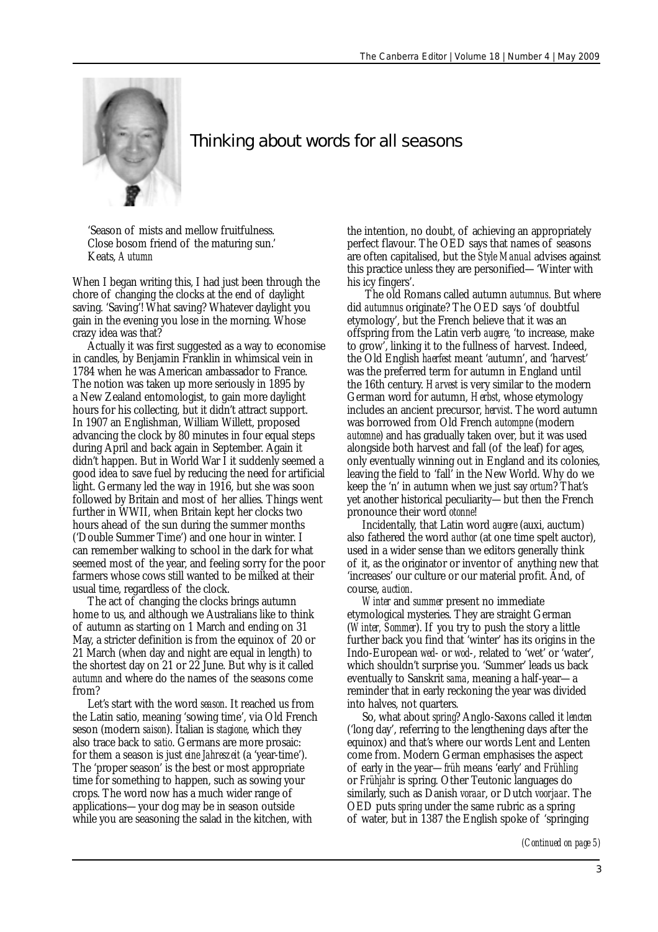

## Thinking about words for all seasons

'Season of mists and mellow fruitfulness. Close bosom friend of the maturing sun.' Keats, *Autumn*

When I began writing this, I had just been through the chore of changing the clocks at the end of daylight saving. 'Saving'! What saving? Whatever daylight you gain in the evening you lose in the morning. Whose crazy idea was that?

Actually it was first suggested as a way to economise in candles, by Benjamin Franklin in whimsical vein in 1784 when he was American ambassador to France. The notion was taken up more seriously in 1895 by a New Zealand entomologist, to gain more daylight hours for his collecting, but it didn't attract support. In 1907 an Englishman, William Willett, proposed advancing the clock by 80 minutes in four equal steps during April and back again in September. Again it didn't happen. But in World War I it suddenly seemed a good idea to save fuel by reducing the need for artificial light. Germany led the way in 1916, but she was soon followed by Britain and most of her allies. Things went further in WWII, when Britain kept her clocks two hours ahead of the sun during the summer months ('Double Summer Time') and one hour in winter. I can remember walking to school in the dark for what seemed most of the year, and feeling sorry for the poor farmers whose cows still wanted to be milked at their usual time, regardless of the clock.

The act of changing the clocks brings autumn home to us, and although we Australians like to think of autumn as starting on 1 March and ending on 31 May, a stricter definition is from the equinox of 20 or 21 March (when day and night are equal in length) to the shortest day on 21 or 22 June. But why is it called *autumn* and where do the names of the seasons come from?

Let's start with the word *season*. It reached us from the Latin satio, meaning 'sowing time', via Old French seson (modern *saison*). Italian is *stagione*, which they also trace back to *satio*. Germans are more prosaic: for them a season is just *eine Jahreszeit* (a 'year-time'). The 'proper season' is the best or most appropriate time for something to happen, such as sowing your crops. The word now has a much wider range of applications—your dog may be in season outside while you are seasoning the salad in the kitchen, with

the intention, no doubt, of achieving an appropriately perfect flavour. The OED says that names of seasons are often capitalised, but the *Style Manual* advises against this practice unless they are personified—'Winter with his icy fingers'.

 The old Romans called autumn *autumnus*. But where did *autumnus* originate? The OED says 'of doubtful etymology', but the French believe that it was an offspring from the Latin verb *augere*, 'to increase, make to grow', linking it to the fullness of harvest. Indeed, the Old English *haerfest* meant 'autumn', and 'harvest' was the preferred term for autumn in England until the 16th century. *Harvest* is very similar to the modern German word for autumn, *Herbst*, whose etymology includes an ancient precursor, *hervist*. The word autumn was borrowed from Old French *autompne* (modern *automne*) and has gradually taken over, but it was used alongside both harvest and fall (of the leaf) for ages, only eventually winning out in England and its colonies, leaving the field to 'fall' in the New World. Why do we keep the 'n' in autumn when we just say *ortum*? That's yet another historical peculiarity—but then the French pronounce their word *otonne*!

Incidentally, that Latin word *augere* (auxi, auctum) also fathered the word *author* (at one time spelt auctor), used in a wider sense than we editors generally think of it, as the originator or inventor of anything new that 'increases' our culture or our material profit. And, of course, *auction*.

*Winter* and *summer* present no immediate etymological mysteries. They are straight German (*Winter, Sommer*). If you try to push the story a little further back you find that 'winter' has its origins in the Indo-European *wed*- or *wod*-, related to 'wet' or 'water', which shouldn't surprise you. 'Summer' leads us back eventually to Sanskrit *sama*, meaning a half-year—a reminder that in early reckoning the year was divided into halves, not quarters.

So, what about *spring*? Anglo-Saxons called it *lencten* ('long day', referring to the lengthening days after the equinox) and that's where our words Lent and Lenten come from. Modern German emphasises the aspect of early in the year—*früh* means 'early' and *Frühling* or *Frühjahr* is spring. Other Teutonic languages do similarly, such as Danish *voraar*, or Dutch *voorjaar*. The OED puts *spring* under the same rubric as a spring of water, but in 1387 the English spoke of 'springing

*(Continued on page 5)*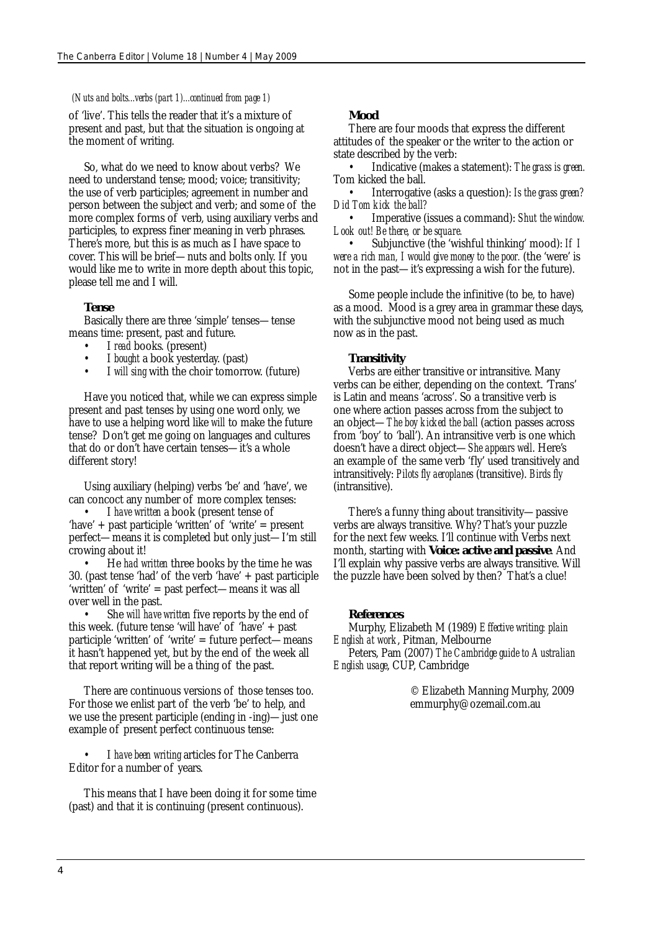## *(Nuts and bolts...verbs (part 1)...continued from page 1)*

of 'live'. This tells the reader that it's a mixture of present and past, but that the situation is ongoing at the moment of writing.

So, what do we need to know about verbs? We need to understand tense; mood; voice; transitivity; the use of verb participles; agreement in number and person between the subject and verb; and some of the more complex forms of verb, using auxiliary verbs and participles, to express finer meaning in verb phrases. There's more, but this is as much as I have space to cover. This will be brief—nuts and bolts only. If you would like me to write in more depth about this topic, please tell me and I will.

## **Tense**

Basically there are three 'simple' tenses—tense means time: present, past and future.

- I *read* books. (present)
- I *bought* a book yesterday. (past)
- I *will sing* with the choir tomorrow. (future)

Have you noticed that, while we can express simple present and past tenses by using one word only, we have to use a helping word like *will* to make the future tense? Don't get me going on languages and cultures that do or don't have certain tenses—it's a whole different story!

Using auxiliary (helping) verbs 'be' and 'have', we can concoct any number of more complex tenses:

• I *have written* a book (present tense of 'have' + past participle 'written' of 'write' = present perfect—means it is completed but only just—I'm still crowing about it!

• He *had written* three books by the time he was 30. (past tense 'had' of the verb 'have' + past participle 'written' of 'write' = past perfect—means it was all over well in the past.

• She *will have written* five reports by the end of this week. (future tense 'will have' of 'have' + past participle 'written' of 'write' = future perfect—means it hasn't happened yet, but by the end of the week all that report writing will be a thing of the past.

There are continuous versions of those tenses too. For those we enlist part of the verb 'be' to help, and we use the present participle (ending in -ing)—just one example of present perfect continuous tense:

• I *have been writing* articles for The Canberra Editor for a number of years.

This means that I have been doing it for some time (past) and that it is continuing (present continuous).

## **Mood**

There are four moods that express the different attitudes of the speaker or the writer to the action or state described by the verb:

• Indicative (makes a statement): *The grass is green.* Tom kicked the ball.

• Interrogative (asks a question): *Is the grass green? Did Tom kick the ball?*

• Imperative (issues a command): *Shut the window. Look out! Be there, or be square.*

• Subjunctive (the 'wishful thinking' mood): *If I were a rich man, I would give money to the poor.* (the 'were' is not in the past—it's expressing a wish for the future).

Some people include the infinitive (to be, to have) as a mood. Mood is a grey area in grammar these days, with the subjunctive mood not being used as much now as in the past.

## **Transitivity**

Verbs are either transitive or intransitive. Many verbs can be either, depending on the context. 'Trans' is Latin and means 'across'. So a transitive verb is one where action passes across from the subject to an object—*The boy kicked the ball* (action passes across from 'boy' to 'ball'). An intransitive verb is one which doesn't have a direct object—*She appears well*. Here's an example of the same verb 'fly' used transitively and intransitively: *Pilots fly aeroplanes* (transitive). *Birds fly*  (intransitive).

There's a funny thing about transitivity—passive verbs are always transitive. Why? That's your puzzle for the next few weeks. I'll continue with Verbs next month, starting with **Voice: active and passive**. And I'll explain why passive verbs are always transitive. Will the puzzle have been solved by then? That's a clue!

#### **References**

Murphy, Elizabeth M (1989) *Effective writing: plain English at work*, Pitman, Melbourne Peters, Pam (2007) *The Cambridge guide to Australian English usage*, CUP, Cambridge

> © Elizabeth Manning Murphy, 2009 emmurphy@ozemail.com.au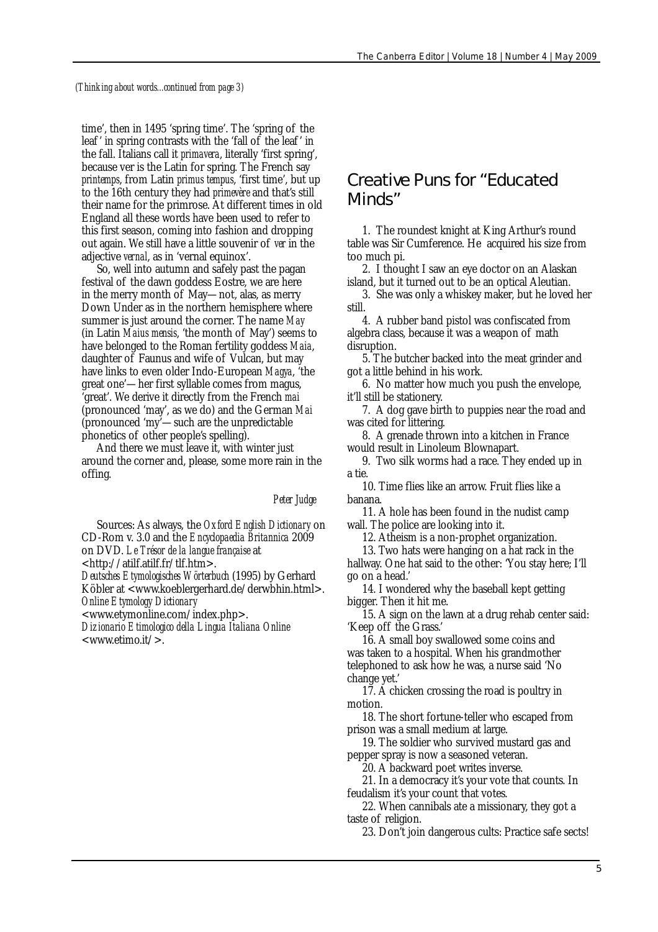*(Thinking about words...continued from page 3)*

time', then in 1495 'spring time'. The 'spring of the leaf ' in spring contrasts with the 'fall of the leaf ' in the fall. Italians call it *primavera*, literally 'first spring', because ver is the Latin for spring. The French say *printemps*, from Latin *primus tempus*, 'first time', but up to the 16th century they had *primevère* and that's still their name for the primrose. At different times in old England all these words have been used to refer to this first season, coming into fashion and dropping out again. We still have a little souvenir of *ver* in the adjective *vernal*, as in 'vernal equinox'.

So, well into autumn and safely past the pagan festival of the dawn goddess Eostre, we are here in the merry month of May—not, alas, as merry Down Under as in the northern hemisphere where summer is just around the corner. The name *May* (in Latin *Maius mensis*, 'the month of May') seems to have belonged to the Roman fertility goddess *Maia*, daughter of Faunus and wife of Vulcan, but may have links to even older Indo-European *Magya*, 'the great one'—her first syllable comes from magus, 'great'. We derive it directly from the French *mai* (pronounced 'may', as we do) and the German *Mai* (pronounced 'my'—such are the unpredictable phonetics of other people's spelling).

And there we must leave it, with winter just around the corner and, please, some more rain in the offing.

 *Peter Judge*

Sources: As always, the *Oxford English Dictionary* on CD-Rom v. 3.0 and the *Encyclopaedia Britannica* 2009 on DVD. *Le Trésor de la langue française* at

<http://atilf.atilf.fr/tlf.htm>.

*Deutsches Etymologisches Wörterbuch* (1995) by Gerhard Köbler at <www.koeblergerhard.de/derwbhin.html>. *Online Etymology Dictionary*

<www.etymonline.com/index.php>.

*Dizionario Etimologico della Lingua Italiana Online* <www.etimo.it/>.

## Creative Puns for "Educated Minds"

1. The roundest knight at King Arthur's round table was Sir Cumference. He acquired his size from too much pi.

2. I thought I saw an eye doctor on an Alaskan island, but it turned out to be an optical Aleutian.

3. She was only a whiskey maker, but he loved her still.

4. A rubber band pistol was confiscated from algebra class, because it was a weapon of math disruption.

5. The butcher backed into the meat grinder and got a little behind in his work.

6. No matter how much you push the envelope, it'll still be stationery.

7. A dog gave birth to puppies near the road and was cited for littering.

8. A grenade thrown into a kitchen in France would result in Linoleum Blownapart.

9. Two silk worms had a race. They ended up in a tie.

10. Time flies like an arrow. Fruit flies like a banana.

11. A hole has been found in the nudist camp wall. The police are looking into it.

12. Atheism is a non-prophet organization.

13. Two hats were hanging on a hat rack in the hallway. One hat said to the other: 'You stay here; I'll go on a head.'

14. I wondered why the baseball kept getting bigger. Then it hit me.

15. A sign on the lawn at a drug rehab center said: 'Keep off the Grass.'

16. A small boy swallowed some coins and was taken to a hospital. When his grandmother telephoned to ask how he was, a nurse said 'No change yet.'

17. A chicken crossing the road is poultry in motion.

18. The short fortune-teller who escaped from prison was a small medium at large.

19. The soldier who survived mustard gas and pepper spray is now a seasoned veteran.

20. A backward poet writes inverse.

21. In a democracy it's your vote that counts. In feudalism it's your count that votes.

22. When cannibals ate a missionary, they got a taste of religion.

23. Don't join dangerous cults: Practice safe sects!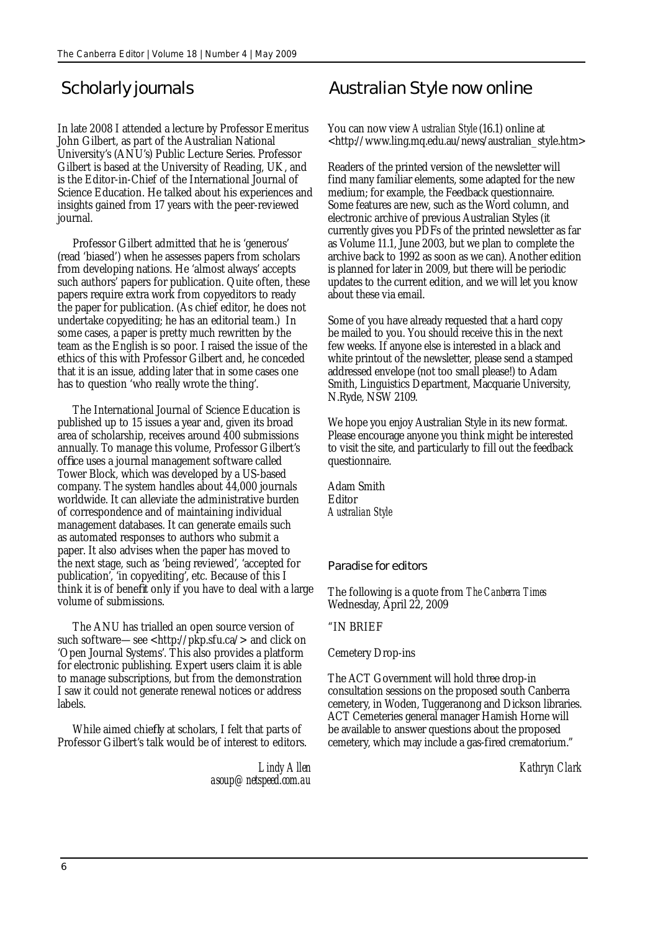In late 2008 I attended a lecture by Professor Emeritus John Gilbert, as part of the Australian National University's (ANU's) Public Lecture Series. Professor Gilbert is based at the University of Reading, UK, and is the Editor-in-Chief of the International Journal of Science Education. He talked about his experiences and insights gained from 17 years with the peer-reviewed journal.

Professor Gilbert admitted that he is 'generous' (read 'biased') when he assesses papers from scholars from developing nations. He 'almost always' accepts such authors' papers for publication. Quite often, these papers require extra work from copyeditors to ready the paper for publication. (As chief editor, he does not undertake copyediting; he has an editorial team.) In some cases, a paper is pretty much rewritten by the team as the English is so poor. I raised the issue of the ethics of this with Professor Gilbert and, he conceded that it is an issue, adding later that in some cases one has to question 'who really wrote the thing'.

The International Journal of Science Education is published up to 15 issues a year and, given its broad area of scholarship, receives around 400 submissions annually. To manage this volume, Professor Gilbert's office uses a journal management software called Tower Block, which was developed by a US-based company. The system handles about 44,000 journals worldwide. It can alleviate the administrative burden of correspondence and of maintaining individual management databases. It can generate emails such as automated responses to authors who submit a paper. It also advises when the paper has moved to the next stage, such as 'being reviewed', 'accepted for publication', 'in copyediting', etc. Because of this I think it is of benefit only if you have to deal with a large volume of submissions.

The ANU has trialled an open source version of such software—see <http://pkp.sfu.ca/> and click on 'Open Journal Systems'. This also provides a platform for electronic publishing. Expert users claim it is able to manage subscriptions, but from the demonstration I saw it could not generate renewal notices or address labels.

While aimed chiefly at scholars, I felt that parts of Professor Gilbert's talk would be of interest to editors.

> *Lindy Allen asoup@netspeed.com.au*

# Scholarly journals *Australian Style* now online

You can now view *Australian Style* (16.1) online at <http://www.ling.mq.edu.au/news/australian\_style.htm>

Readers of the printed version of the newsletter will find many familiar elements, some adapted for the new medium; for example, the Feedback questionnaire. Some features are new, such as the Word column, and electronic archive of previous Australian Styles (it currently gives you PDFs of the printed newsletter as far as Volume 11.1, June 2003, but we plan to complete the archive back to 1992 as soon as we can). Another edition is planned for later in 2009, but there will be periodic updates to the current edition, and we will let you know about these via email.

Some of you have already requested that a hard copy be mailed to you. You should receive this in the next few weeks. If anyone else is interested in a black and white printout of the newsletter, please send a stamped addressed envelope (not too small please!) to Adam Smith, Linguistics Department, Macquarie University, N.Ryde, NSW 2109.

We hope you enjoy Australian Style in its new format. Please encourage anyone you think might be interested to visit the site, and particularly to fill out the feedback questionnaire.

Adam Smith Editor *Australian Style*

## Paradise for editors

The following is a quote from *The Canberra Times* Wednesday, April 22, 2009

## "IN BRIEF

#### Cemetery Drop-ins

The ACT Government will hold three drop-in consultation sessions on the proposed south Canberra cemetery, in Woden, Tuggeranong and Dickson libraries. ACT Cemeteries general manager Hamish Horne will be available to answer questions about the proposed cemetery, which may include a gas-fired crematorium."

 *Kathryn Clark*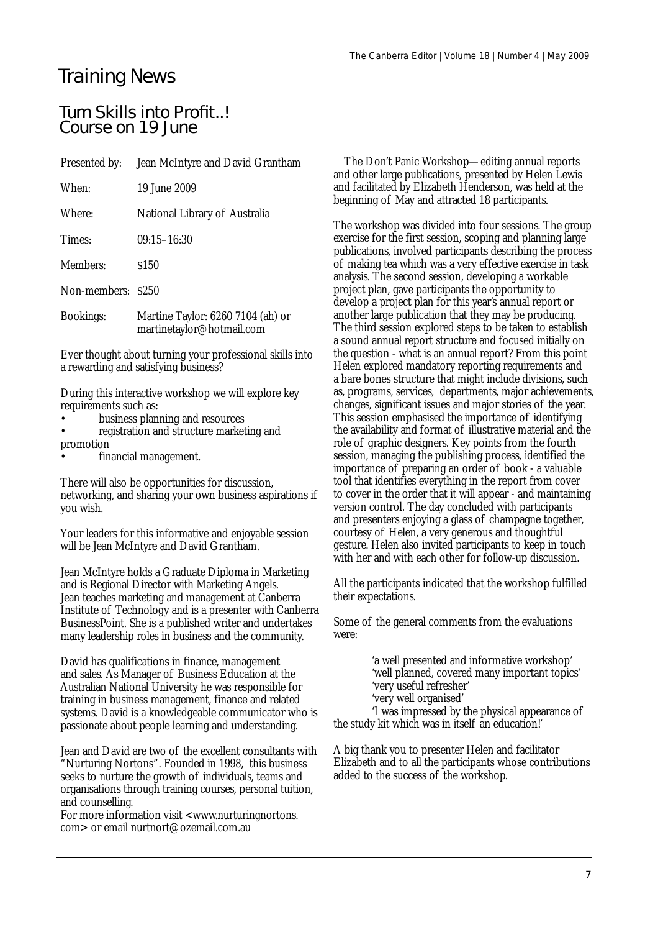# Training News

## Turn Skills into Profit..! Course on 19 June

| Presented by: | Jean McIntyre and David Grantham |
|---------------|----------------------------------|
|               |                                  |

| When:  | 19 June 2009                  |
|--------|-------------------------------|
| Where: | National Library of Australia |
| Times: | $09:15 - 16:30$               |

Members: \$150

Non-members: \$250

Bookings: Martine Taylor: 6260 7104 (ah) or martinetaylor@hotmail.com

Ever thought about turning your professional skills into a rewarding and satisfying business?

During this interactive workshop we will explore key requirements such as:

- business planning and resources
- registration and structure marketing and promotion
- financial management.

There will also be opportunities for discussion, networking, and sharing your own business aspirations if you wish.

Your leaders for this informative and enjoyable session will be Jean McIntyre and David Grantham.

Jean McIntyre holds a Graduate Diploma in Marketing and is Regional Director with Marketing Angels. Jean teaches marketing and management at Canberra Institute of Technology and is a presenter with Canberra BusinessPoint. She is a published writer and undertakes many leadership roles in business and the community.

David has qualifications in finance, management and sales. As Manager of Business Education at the Australian National University he was responsible for training in business management, finance and related systems. David is a knowledgeable communicator who is passionate about people learning and understanding.

Jean and David are two of the excellent consultants with "Nurturing Nortons". Founded in 1998, this business seeks to nurture the growth of individuals, teams and organisations through training courses, personal tuition, and counselling.

For more information visit <www.nurturingnortons. com> or email nurtnort@ozemail.com.au

The Don't Panic Workshop—editing annual reports and other large publications, presented by Helen Lewis and facilitated by Elizabeth Henderson, was held at the beginning of May and attracted 18 participants.

The workshop was divided into four sessions. The group exercise for the first session, scoping and planning large publications, involved participants describing the process of making tea which was a very effective exercise in task analysis. The second session, developing a workable project plan, gave participants the opportunity to develop a project plan for this year's annual report or another large publication that they may be producing. The third session explored steps to be taken to establish a sound annual report structure and focused initially on the question - what is an annual report? From this point Helen explored mandatory reporting requirements and a bare bones structure that might include divisions, such as, programs, services, departments, major achievements, changes, significant issues and major stories of the year. This session emphasised the importance of identifying the availability and format of illustrative material and the role of graphic designers. Key points from the fourth session, managing the publishing process, identified the importance of preparing an order of book - a valuable tool that identifies everything in the report from cover to cover in the order that it will appear - and maintaining version control. The day concluded with participants and presenters enjoying a glass of champagne together, courtesy of Helen, a very generous and thoughtful gesture. Helen also invited participants to keep in touch with her and with each other for follow-up discussion.

All the participants indicated that the workshop fulfilled their expectations.

Some of the general comments from the evaluations were:

> 'a well presented and informative workshop' 'well planned, covered many important topics' 'very useful refresher'

'very well organised'

'I was impressed by the physical appearance of the study kit which was in itself an education!'

A big thank you to presenter Helen and facilitator Elizabeth and to all the participants whose contributions added to the success of the workshop.